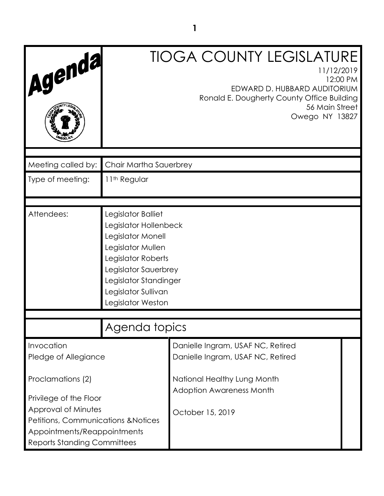| Agenda                                                                                                   |                                                                                                                                                                                                          | <b>TIOGA COUNTY LEGISLATURE</b><br>11/12/2019<br>12:00 PM<br>EDWARD D. HUBBARD AUDITORIUM<br>Ronald E. Dougherty County Office Building<br>56 Main Street<br>Owego NY 13827 |  |
|----------------------------------------------------------------------------------------------------------|----------------------------------------------------------------------------------------------------------------------------------------------------------------------------------------------------------|-----------------------------------------------------------------------------------------------------------------------------------------------------------------------------|--|
| Meeting called by:                                                                                       | Chair Martha Sauerbrey                                                                                                                                                                                   |                                                                                                                                                                             |  |
| Type of meeting:                                                                                         | 11th Regular                                                                                                                                                                                             |                                                                                                                                                                             |  |
| Attendees:                                                                                               | Legislator Balliet<br>Legislator Hollenbeck<br>Legislator Monell<br>Legislator Mullen<br>Legislator Roberts<br>Legislator Sauerbrey<br>Legislator Standinger<br>Legislator Sullivan<br>Legislator Weston |                                                                                                                                                                             |  |
|                                                                                                          | Agenda topics                                                                                                                                                                                            |                                                                                                                                                                             |  |
| Invocation<br>Pledge of Allegiance                                                                       |                                                                                                                                                                                                          | Danielle Ingram, USAF NC, Retired<br>Danielle Ingram, USAF NC, Retired                                                                                                      |  |
| Proclamations (2)<br>Privilege of the Floor<br>Approval of Minutes                                       |                                                                                                                                                                                                          | National Healthy Lung Month<br><b>Adoption Awareness Month</b>                                                                                                              |  |
| Petitions, Communications & Notices<br>Appointments/Reappointments<br><b>Reports Standing Committees</b> |                                                                                                                                                                                                          | October 15, 2019                                                                                                                                                            |  |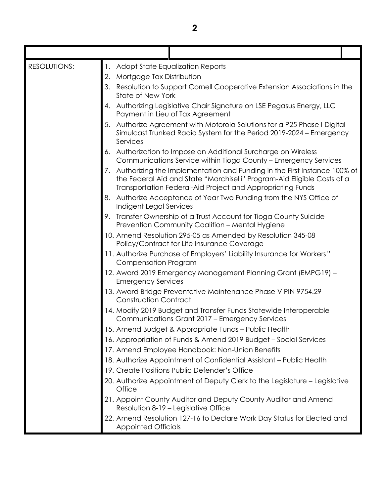| <b>RESOLUTIONS:</b> |    | 1. Adopt State Equalization Reports                                                                                                                                                                                  |  |
|---------------------|----|----------------------------------------------------------------------------------------------------------------------------------------------------------------------------------------------------------------------|--|
|                     | 2. | Mortgage Tax Distribution                                                                                                                                                                                            |  |
|                     | 3. | Resolution to Support Cornell Cooperative Extension Associations in the<br><b>State of New York</b>                                                                                                                  |  |
|                     | 4. | Authorizing Legislative Chair Signature on LSE Pegasus Energy, LLC<br>Payment in Lieu of Tax Agreement                                                                                                               |  |
|                     | 5. | Authorize Agreement with Motorola Solutions for a P25 Phase I Digital<br>Simulcast Trunked Radio System for the Period 2019-2024 – Emergency<br>Services                                                             |  |
|                     | 6. | Authorization to Impose an Additional Surcharge on Wireless<br>Communications Service within Tioga County - Emergency Services                                                                                       |  |
|                     |    | 7. Authorizing the Implementation and Funding in the First Instance 100% of<br>the Federal Aid and State "Marchiselli" Program-Aid Eligible Costs of a<br>Transportation Federal-Aid Project and Appropriating Funds |  |
|                     | 8. | Authorize Acceptance of Year Two Funding from the NYS Office of<br>Indigent Legal Services                                                                                                                           |  |
|                     |    | 9. Transfer Ownership of a Trust Account for Tioga County Suicide<br>Prevention Community Coalition - Mental Hygiene                                                                                                 |  |
|                     |    | 10. Amend Resolution 295-05 as Amended by Resolution 345-08<br>Policy/Contract for Life Insurance Coverage                                                                                                           |  |
|                     |    | 11. Authorize Purchase of Employers' Liability Insurance for Workers''<br><b>Compensation Program</b>                                                                                                                |  |
|                     |    | 12. Award 2019 Emergency Management Planning Grant (EMPG19) -<br><b>Emergency Services</b>                                                                                                                           |  |
|                     |    | 13. Award Bridge Preventative Maintenance Phase V PIN 9754.29<br><b>Construction Contract</b>                                                                                                                        |  |
|                     |    | 14. Modify 2019 Budget and Transfer Funds Statewide Interoperable<br>Communications Grant 2017 - Emergency Services                                                                                                  |  |
|                     |    | 15. Amend Budget & Appropriate Funds - Public Health                                                                                                                                                                 |  |
|                     |    | 16. Appropriation of Funds & Amend 2019 Budget - Social Services                                                                                                                                                     |  |
|                     |    | 17. Amend Employee Handbook: Non-Union Benefits                                                                                                                                                                      |  |
|                     |    | 18. Authorize Appointment of Confidential Assistant - Public Health                                                                                                                                                  |  |
|                     |    | 19. Create Positions Public Defender's Office                                                                                                                                                                        |  |
|                     |    | 20. Authorize Appointment of Deputy Clerk to the Legislature – Legislative<br>Office                                                                                                                                 |  |
|                     |    | 21. Appoint County Auditor and Deputy County Auditor and Amend<br>Resolution 8-19 - Legislative Office                                                                                                               |  |
|                     |    | 22. Amend Resolution 127-16 to Declare Work Day Status for Elected and<br><b>Appointed Officials</b>                                                                                                                 |  |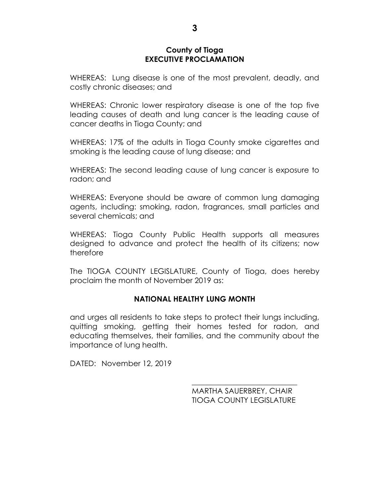#### **County of Tioga EXECUTIVE PROCLAMATION**

WHEREAS: Lung disease is one of the most prevalent, deadly, and costly chronic diseases; and

WHEREAS: Chronic lower respiratory disease is one of the top five leading causes of death and lung cancer is the leading cause of cancer deaths in Tioga County; and

WHEREAS: 17% of the adults in Tioga County smoke cigarettes and smoking is the leading cause of lung disease; and

WHEREAS: The second leading cause of lung cancer is exposure to radon; and

WHEREAS: Everyone should be aware of common lung damaging agents, including: smoking, radon, fragrances, small particles and several chemicals; and

WHEREAS: Tioga County Public Health supports all measures designed to advance and protect the health of its citizens; now therefore

The TIOGA COUNTY LEGISLATURE, County of Tioga, does hereby proclaim the month of November 2019 as:

# **NATIONAL HEALTHY LUNG MONTH**

and urges all residents to take steps to protect their lungs including, quitting smoking, getting their homes tested for radon, and educating themselves, their families, and the community about the importance of lung health.

DATED: November 12, 2019

MARTHA SAUERBREY, CHAIR TIOGA COUNTY LEGISLATURE

\_\_\_\_\_\_\_\_\_\_\_\_\_\_\_\_\_\_\_\_\_\_\_\_\_\_\_\_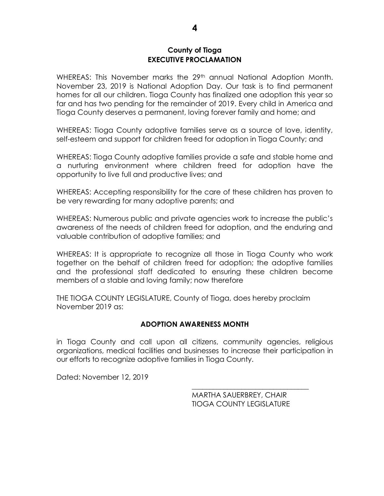### **County of Tioga EXECUTIVE PROCLAMATION**

WHEREAS: This November marks the 29<sup>th</sup> annual National Adoption Month. November 23, 2019 is National Adoption Day. Our task is to find permanent homes for all our children. Tioga County has finalized one adoption this year so far and has two pending for the remainder of 2019. Every child in America and Tioga County deserves a permanent, loving forever family and home; and

WHEREAS: Tioga County adoptive families serve as a source of love, identity, self-esteem and support for children freed for adoption in Tioga County; and

WHEREAS: Tioga County adoptive families provide a safe and stable home and a nurturing environment where children freed for adoption have the opportunity to live full and productive lives; and

WHEREAS: Accepting responsibility for the care of these children has proven to be very rewarding for many adoptive parents; and

WHEREAS: Numerous public and private agencies work to increase the public's awareness of the needs of children freed for adoption, and the enduring and valuable contribution of adoptive families; and

WHEREAS: It is appropriate to recognize all those in Tioga County who work together on the behalf of children freed for adoption; the adoptive families and the professional staff dedicated to ensuring these children become members of a stable and loving family; now therefore

THE TIOGA COUNTY LEGISLATURE, County of Tioga, does hereby proclaim November 2019 as:

#### **ADOPTION AWARENESS MONTH**

in Tioga County and call upon all citizens, community agencies, religious organizations, medical facilities and businesses to increase their participation in our efforts to recognize adoptive families in Tioga County.

Dated: November 12, 2019

MARTHA SAUERBREY, CHAIR TIOGA COUNTY LEGISLATURE

\_\_\_\_\_\_\_\_\_\_\_\_\_\_\_\_\_\_\_\_\_\_\_\_\_\_\_\_\_\_\_\_\_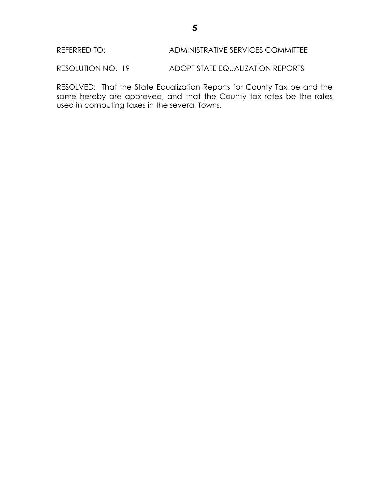REFERRED TO: ADMINISTRATIVE SERVICES COMMITTEE

RESOLUTION NO. -19 ADOPT STATE EQUALIZATION REPORTS

RESOLVED: That the State Equalization Reports for County Tax be and the same hereby are approved, and that the County tax rates be the rates used in computing taxes in the several Towns.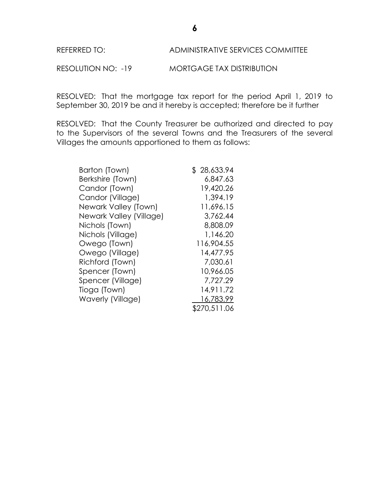# REFERRED TO: ADMINISTRATIVE SERVICES COMMITTEE

RESOLUTION NO: -19 MORTGAGE TAX DISTRIBUTION

RESOLVED: That the mortgage tax report for the period April 1, 2019 to September 30, 2019 be and it hereby is accepted; therefore be it further

RESOLVED: That the County Treasurer be authorized and directed to pay to the Supervisors of the several Towns and the Treasurers of the several Villages the amounts apportioned to them as follows:

| Barton (Town)           | \$28,633.94  |
|-------------------------|--------------|
| Berkshire (Town)        | 6,847.63     |
| Candor (Town)           | 19,420.26    |
| Candor (Village)        | 1,394.19     |
| Newark Valley (Town)    | 11,696.15    |
| Newark Valley (Village) | 3,762.44     |
| Nichols (Town)          | 8,808.09     |
| Nichols (Village)       | 1,146.20     |
| Owego (Town)            | 116,904.55   |
| Owego (Village)         | 14,477.95    |
| Richford (Town)         | 7,030.61     |
| Spencer (Town)          | 10,966.05    |
| Spencer (Village)       | 7,727.29     |
| Tioga (Town)            | 14,911.72    |
| Waverly (Village)       | 16,783.99    |
|                         | \$270,511.06 |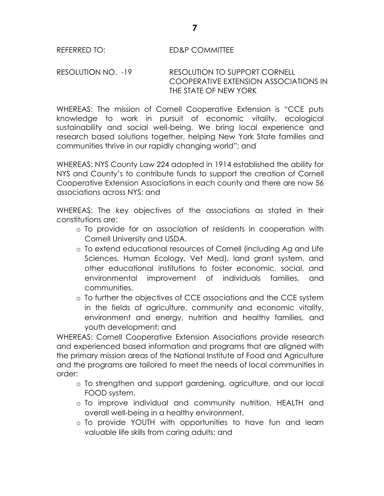# RESOLUTION NO. -19 RESOLUTION TO SUPPORT CORNELL COOPERATIVE EXTENSION ASSOCIATIONS IN THE STATE OF NEW YORK

WHEREAS: The mission of Cornell Cooperative Extension is "CCE puts knowledge to work in pursuit of economic vitality, ecological sustainability and social well-being. We bring local experience and research based solutions together, helping New York State families and communities thrive in our rapidly changing world"; and

WHEREAS: NYS County Law 224 adopted in 1914 established the ability for NYS and County's to contribute funds to support the creation of Cornell Cooperative Extension Associations in each county and there are now 56 associations across NYS; and

WHEREAS: The key objectives of the associations as stated in their constitutions are:

- o To provide for an association of residents in cooperation with Cornell University and USDA.
- o To extend educational resources of Cornell (including Ag and Life Sciences, Human Ecology, Vet Med), land grant system, and other educational institutions to foster economic, social, and environmental improvement of individuals families, and communities.
- o To further the objectives of CCE associations and the CCE system in the fields of agriculture, community and economic vitality, environment and energy, nutrition and healthy families, and youth development; and

WHEREAS: Cornell Cooperative Extension Associations provide research and experienced based information and programs that are aligned with the primary mission areas of the National Institute of Food and Agriculture and the programs are tailored to meet the needs of local communities in order:

- o To strengthen and support gardening, agriculture, and our local FOOD system.
- o To improve individual and community nutrition, HEALTH and overall well-being in a healthy environment.
- o To provide YOUTH with opportunities to have fun and learn valuable life skills from caring adults; and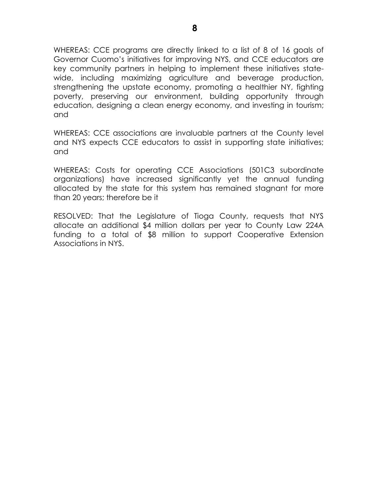WHEREAS: CCE programs are directly linked to a list of 8 of 16 goals of Governor Cuomo's initiatives for improving NYS, and CCE educators are key community partners in helping to implement these initiatives statewide, including maximizing agriculture and beverage production, strengthening the upstate economy, promoting a healthier NY, fighting poverty, preserving our environment, building opportunity through education, designing a clean energy economy, and investing in tourism; and

WHEREAS: CCE associations are invaluable partners at the County level and NYS expects CCE educators to assist in supporting state initiatives; and

WHEREAS: Costs for operating CCE Associations (501C3 subordinate organizations) have increased significantly yet the annual funding allocated by the state for this system has remained stagnant for more than 20 years; therefore be it

RESOLVED: That the Legislature of Tioga County, requests that NYS allocate an additional \$4 million dollars per year to County Law 224A funding to a total of \$8 million to support Cooperative Extension Associations in NYS.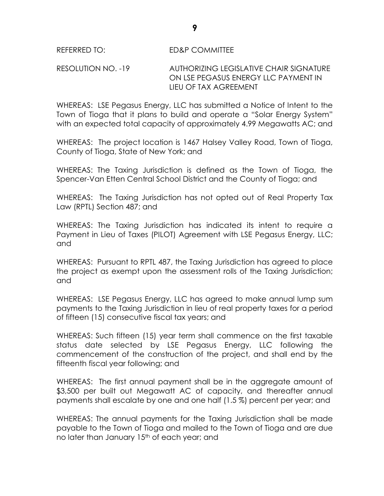### RESOLUTION NO. -19 AUTHORIZING LEGISLATIVE CHAIR SIGNATURE ON LSE PEGASUS ENERGY LLC PAYMENT IN LIEU OF TAX AGREEMENT

WHEREAS: LSE Pegasus Energy, LLC has submitted a Notice of Intent to the Town of Tioga that it plans to build and operate a "Solar Energy System" with an expected total capacity of approximately 4.99 Megawatts AC; and

WHEREAS: The project location is 1467 Halsey Valley Road, Town of Tioga, County of Tioga, State of New York; and

WHEREAS: The Taxing Jurisdiction is defined as the Town of Tioga, the Spencer-Van Etten Central School District and the County of Tioga; and

WHEREAS: The Taxing Jurisdiction has not opted out of Real Property Tax Law (RPTL) Section 487; and

WHEREAS: The Taxing Jurisdiction has indicated its intent to require a Payment in Lieu of Taxes (PILOT) Agreement with LSE Pegasus Energy, LLC; and

WHEREAS: Pursuant to RPTL 487, the Taxing Jurisdiction has agreed to place the project as exempt upon the assessment rolls of the Taxing Jurisdiction; and

WHEREAS: LSE Pegasus Energy, LLC has agreed to make annual lump sum payments to the Taxing Jurisdiction in lieu of real property taxes for a period of fifteen (15) consecutive fiscal tax years; and

WHEREAS: Such fifteen (15) year term shall commence on the first taxable status date selected by LSE Pegasus Energy, LLC following the commencement of the construction of the project, and shall end by the fifteenth fiscal year following; and

WHEREAS: The first annual payment shall be in the aggregate amount of \$3,500 per built out Megawatt AC of capacity, and thereafter annual payments shall escalate by one and one half (1.5 %) percent per year; and

WHEREAS: The annual payments for the Taxing Jurisdiction shall be made payable to the Town of Tioga and mailed to the Town of Tioga and are due no later than January 15<sup>th</sup> of each year; and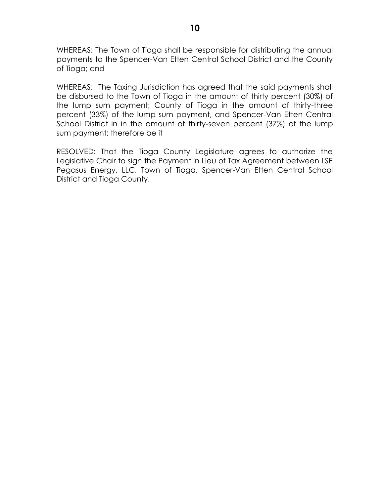WHEREAS: The Town of Tioga shall be responsible for distributing the annual payments to the Spencer-Van Etten Central School District and the County of Tioga; and

WHEREAS: The Taxing Jurisdiction has agreed that the said payments shall be disbursed to the Town of Tioga in the amount of thirty percent (30%) of the lump sum payment; County of Tioga in the amount of thirty-three percent (33%) of the lump sum payment, and Spencer-Van Etten Central School District in in the amount of thirty-seven percent (37%) of the lump sum payment; therefore be it

RESOLVED: That the Tioga County Legislature agrees to authorize the Legislative Chair to sign the Payment in Lieu of Tax Agreement between LSE Pegasus Energy, LLC, Town of Tioga, Spencer-Van Etten Central School District and Tioga County.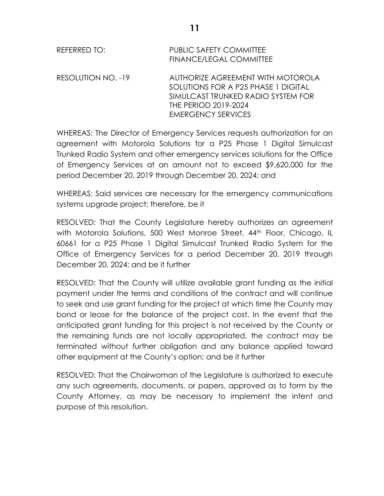| REFERRED TO:       | <b>PUBLIC SAFETY COMMITTEE</b><br><b>FINANCE/LEGAL COMMITTEE</b>                                                                                                    |
|--------------------|---------------------------------------------------------------------------------------------------------------------------------------------------------------------|
| RESOLUTION NO. -19 | AUTHORIZE AGREEMENT WITH MOTOROLA<br>SOLUTIONS FOR A P25 PHASE 1 DIGITAL<br>SIMULCAST TRUNKED RADIO SYSTEM FOR<br>THE PERIOD 2019-2024<br><b>EMERGENCY SERVICES</b> |

WHEREAS: The Director of Emergency Services requests authorization for an agreement with Motorola Solutions for a P25 Phase 1 Digital Simulcast Trunked Radio System and other emergency services solutions for the Office of Emergency Services at an amount not to exceed \$9,620,000 for the period December 20, 2019 through December 20, 2024; and

WHEREAS: Said services are necessary for the emergency communications systems upgrade project; therefore, be it

RESOLVED: That the County Legislature hereby authorizes an agreement with Motorola Solutions, 500 West Monroe Street, 44<sup>th</sup> Floor, Chicago, IL 60661 for a P25 Phase 1 Digital Simulcast Trunked Radio System for the Office of Emergency Services for a period December 20, 2019 through December 20, 2024; and be it further

RESOLVED: That the County will utilize available grant funding as the initial payment under the terms and conditions of the contract and will continue to seek and use grant funding for the project at which time the County may bond or lease for the balance of the project cost. In the event that the anticipated grant funding for this project is not received by the County or the remaining funds are not locally appropriated, the contract may be terminated without further obligation and any balance applied toward other equipment at the County's option; and be it further

RESOLVED: That the Chairwoman of the Legislature is authorized to execute any such agreements, documents, or papers, approved as to form by the County Attorney, as may be necessary to implement the intent and purpose of this resolution.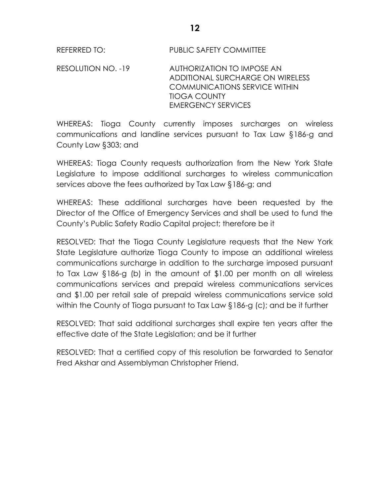REFERRED TO: PUBLIC SAFETY COMMITTEE

RESOLUTION NO. -19 AUTHORIZATION TO IMPOSE AN ADDITIONAL SURCHARGE ON WIRELESS COMMUNICATIONS SERVICE WITHIN TIOGA COUNTY EMERGENCY SERVICES

WHEREAS: Tioga County currently imposes surcharges on wireless communications and landline services pursuant to Tax Law §186-g and County Law §303; and

WHEREAS: Tioga County requests authorization from the New York State Legislature to impose additional surcharges to wireless communication services above the fees authorized by Tax Law §186-g; and

WHEREAS: These additional surcharges have been requested by the Director of the Office of Emergency Services and shall be used to fund the County's Public Safety Radio Capital project; therefore be it

RESOLVED: That the Tioga County Legislature requests that the New York State Legislature authorize Tioga County to impose an additional wireless communications surcharge in addition to the surcharge imposed pursuant to Tax Law §186-g (b) in the amount of \$1.00 per month on all wireless communications services and prepaid wireless communications services and \$1.00 per retail sale of prepaid wireless communications service sold within the County of Tioga pursuant to Tax Law §186-g (c); and be it further

RESOLVED: That said additional surcharges shall expire ten years after the effective date of the State Legislation; and be it further

RESOLVED: That a certified copy of this resolution be forwarded to Senator Fred Akshar and Assemblyman Christopher Friend.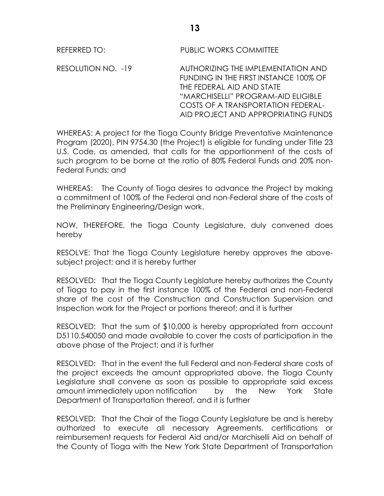REFERRED TO: PUBLIC WORKS COMMITTEE

RESOLUTION NO. -19 AUTHORIZING THE IMPLEMENTATION AND FUNDING IN THE FIRST INSTANCE 100% OF THE FEDERAL AID AND STATE "MARCHISELLI" PROGRAM-AID ELIGIBLE COSTS OF A TRANSPORTATION FEDERAL-AID PROJECT AND APPROPRIATING FUNDS

WHEREAS: A project for the Tioga County Bridge Preventative Maintenance Program (2020), PIN 9754.30 (the Project) is eligible for funding under Title 23 U.S. Code, as amended, that calls for the apportionment of the costs of such program to be borne at the ratio of 80% Federal Funds and 20% non-Federal Funds; and

WHEREAS: The County of Tioga desires to advance the Project by making a commitment of 100% of the Federal and non-Federal share of the costs of the Preliminary Engineering/Design work.

NOW, THEREFORE, the Tioga County Legislature, duly convened does hereby

RESOLVE: That the Tioga County Legislature hereby approves the abovesubject project; and it is hereby further

RESOLVED: That the Tioga County Legislature hereby authorizes the County of Tioga to pay in the first instance 100% of the Federal and non-Federal share of the cost of the Construction and Construction Supervision and Inspection work for the Project or portions thereof; and it is further

RESOLVED: That the sum of \$10,000 is hereby appropriated from account D5110.540050 and made available to cover the costs of participation in the above phase of the Project; and it is further

RESOLVED: That in the event the full Federal and non-Federal share costs of the project exceeds the amount appropriated above, the Tioga County Legislature shall convene as soon as possible to appropriate said excess amount immediately upon notification by the New York State Department of Transportation thereof, and it is further

RESOLVED: That the Chair of the Tioga County Legislature be and is hereby authorized to execute all necessary Agreements, certifications or reimbursement requests for Federal Aid and/or Marchiselli Aid on behalf of the County of Tioga with the New York State Department of Transportation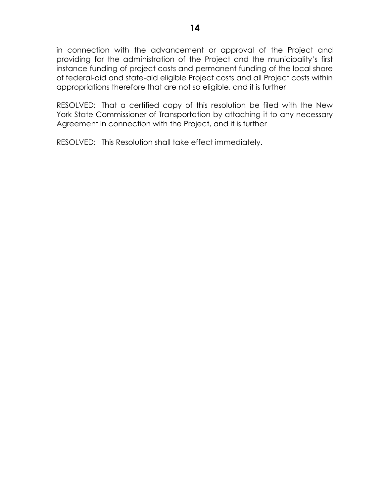in connection with the advancement or approval of the Project and providing for the administration of the Project and the municipality's first instance funding of project costs and permanent funding of the local share of federal-aid and state-aid eligible Project costs and all Project costs within appropriations therefore that are not so eligible, and it is further

RESOLVED: That a certified copy of this resolution be filed with the New York State Commissioner of Transportation by attaching it to any necessary Agreement in connection with the Project, and it is further

RESOLVED: This Resolution shall take effect immediately.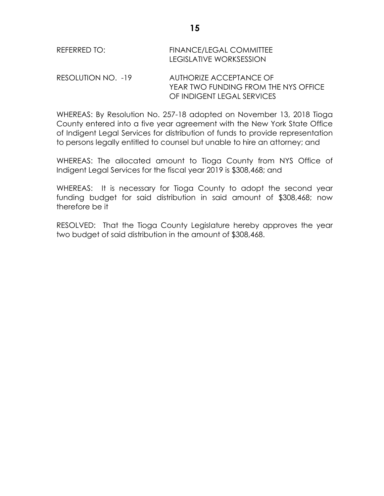| REFERRED TO:             | <b>FINANCE/LEGAL COMMITTEE</b><br>LEGISLATIVE WORKSESSION |  |
|--------------------------|-----------------------------------------------------------|--|
| $DECOI I ITION INO = 10$ | ALITUODIZE ACCEDITANICE OE                                |  |

RESOLUTION NO. -19 AUTHORIZE ACCEPTANCE OF YEAR TWO FUNDING FROM THE NYS OFFICE OF INDIGENT LEGAL SERVICES

WHEREAS: By Resolution No. 257-18 adopted on November 13, 2018 Tioga County entered into a five year agreement with the New York State Office of Indigent Legal Services for distribution of funds to provide representation to persons legally entitled to counsel but unable to hire an attorney; and

WHEREAS: The allocated amount to Tioga County from NYS Office of Indigent Legal Services for the fiscal year 2019 is \$308,468; and

WHEREAS: It is necessary for Tioga County to adopt the second year funding budget for said distribution in said amount of \$308,468; now therefore be it

RESOLVED: That the Tioga County Legislature hereby approves the year two budget of said distribution in the amount of \$308,468.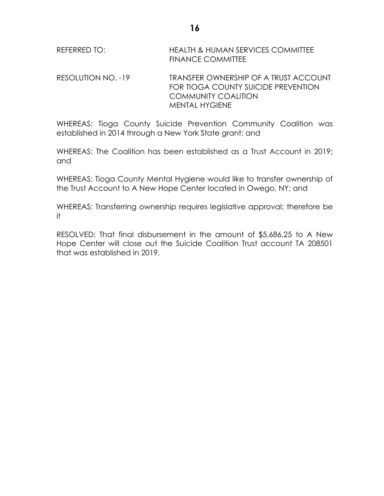| REFERRED TO: | HEALTH & HUMAN SERVICES COMMITTEE |
|--------------|-----------------------------------|
|              | <b>FINANCE COMMITTEE</b>          |

RESOLUTION NO. -19 TRANSFER OWNERSHIP OF A TRUST ACCOUNT FOR TIOGA COUNTY SUICIDE PREVENTION COMMUNITY COALITION MENTAL HYGIENE

WHEREAS: Tioga County Suicide Prevention Community Coalition was established in 2014 through a New York State grant; and

WHEREAS: The Coalition has been established as a Trust Account in 2019; and

WHEREAS: Tioga County Mental Hygiene would like to transfer ownership of the Trust Account to A New Hope Center located in Owego, NY; and

WHEREAS: Transferring ownership requires legislative approval; therefore be it

RESOLVED: That final disbursement in the amount of \$5,686.25 to A New Hope Center will close out the Suicide Coalition Trust account TA 208501 that was established in 2019.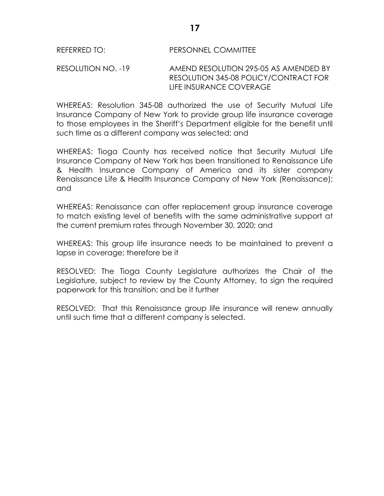#### REFERRED TO: PERSONNEL COMMITTEE

RESOLUTION NO. -19 AMEND RESOLUTION 295-05 AS AMENDED BY RESOLUTION 345-08 POLICY/CONTRACT FOR LIFE INSURANCE COVERAGE

WHEREAS: Resolution 345-08 authorized the use of Security Mutual Life Insurance Company of New York to provide group life insurance coverage to those employees in the Sheriff's Department eligible for the benefit until such time as a different company was selected; and

WHEREAS: Tioga County has received notice that Security Mutual Life Insurance Company of New York has been transitioned to Renaissance Life & Health Insurance Company of America and its sister company Renaissance Life & Health Insurance Company of New York (Renaissance); and

WHEREAS: Renaissance can offer replacement group insurance coverage to match existing level of benefits with the same administrative support at the current premium rates through November 30, 2020; and

WHEREAS: This group life insurance needs to be maintained to prevent a lapse in coverage; therefore be it

RESOLVED: The Tioga County Legislature authorizes the Chair of the Legislature, subject to review by the County Attorney, to sign the required paperwork for this transition; and be it further

RESOLVED: That this Renaissance group life insurance will renew annually until such time that a different company is selected.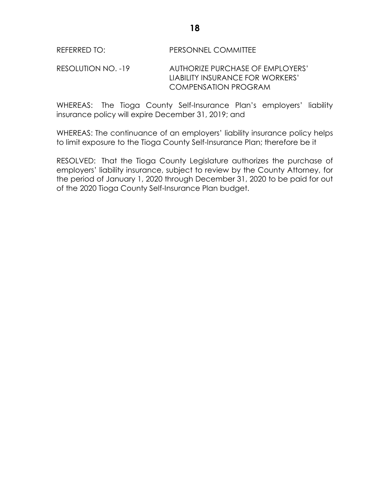### REFERRED TO: PERSONNEL COMMITTEE

RESOLUTION NO. -19 AUTHORIZE PURCHASE OF EMPLOYERS' LIABILITY INSURANCE FOR WORKERS' COMPENSATION PROGRAM

WHEREAS: The Tioga County Self-Insurance Plan's employers' liability insurance policy will expire December 31, 2019; and

WHEREAS: The continuance of an employers' liability insurance policy helps to limit exposure to the Tioga County Self-Insurance Plan; therefore be it

RESOLVED: That the Tioga County Legislature authorizes the purchase of employers' liability insurance, subject to review by the County Attorney, for the period of January 1, 2020 through December 31, 2020 to be paid for out of the 2020 Tioga County Self-Insurance Plan budget.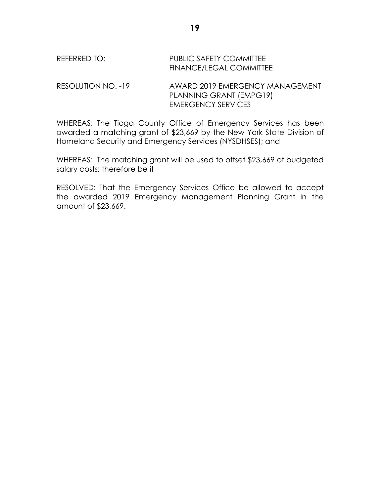# REFERRED TO: PUBLIC SAFETY COMMITTEE FINANCE/LEGAL COMMITTEE

RESOLUTION NO. -19 AWARD 2019 EMERGENCY MANAGEMENT PLANNING GRANT (EMPG19) EMERGENCY SERVICES

WHEREAS: The Tioga County Office of Emergency Services has been awarded a matching grant of \$23,669 by the New York State Division of Homeland Security and Emergency Services (NYSDHSES); and

WHEREAS: The matching grant will be used to offset \$23,669 of budgeted salary costs; therefore be it

RESOLVED: That the Emergency Services Office be allowed to accept the awarded 2019 Emergency Management Planning Grant in the amount of \$23,669.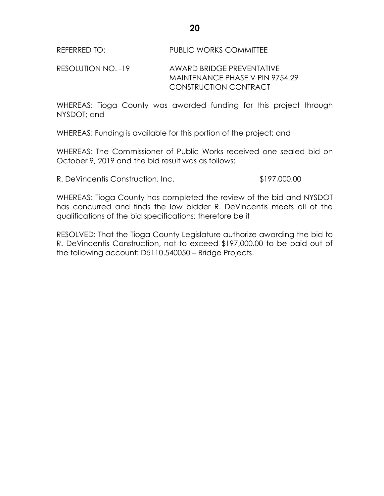# RESOLUTION NO. -19 AWARD BRIDGE PREVENTATIVE MAINTENANCE PHASE V PIN 9754.29 CONSTRUCTION CONTRACT

WHEREAS: Tioga County was awarded funding for this project through NYSDOT; and

WHEREAS: Funding is available for this portion of the project; and

WHEREAS: The Commissioner of Public Works received one sealed bid on October 9, 2019 and the bid result was as follows:

R. DeVincentis Construction, Inc.  $$197,000.00$ 

WHEREAS: Tioga County has completed the review of the bid and NYSDOT has concurred and finds the low bidder R. DeVincentis meets all of the qualifications of the bid specifications; therefore be it

RESOLVED: That the Tioga County Legislature authorize awarding the bid to R. DeVincentis Construction, not to exceed \$197,000.00 to be paid out of the following account: D5110.540050 – Bridge Projects.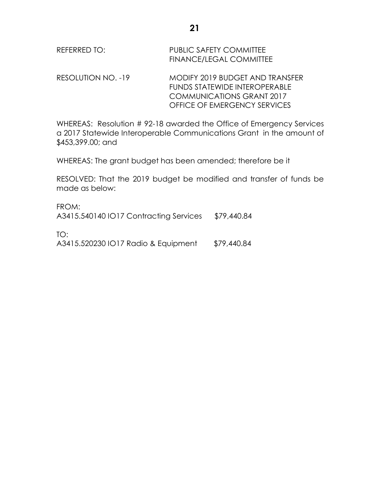| REFERRED TO:       | PUBLIC SAFETY COMMITTEE<br><b>FINANCE/LEGAL COMMITTEE</b> |  |
|--------------------|-----------------------------------------------------------|--|
| RESOLUTION NO. -19 | MODIFY 2019 BUDGET AND TRANSFER                           |  |

FUNDS STATEWIDE INTEROPERABLE COMMUNICATIONS GRANT 2017 OFFICE OF EMERGENCY SERVICES

WHEREAS: Resolution # 92-18 awarded the Office of Emergency Services a 2017 Statewide Interoperable Communications Grant in the amount of \$453,399.00; and

WHEREAS: The grant budget has been amended; therefore be it

RESOLVED: That the 2019 budget be modified and transfer of funds be made as below:

FROM: A3415.540140 IO17 Contracting Services \$79,440.84 TO: A3415.520230 IO17 Radio & Equipment \$79,440.84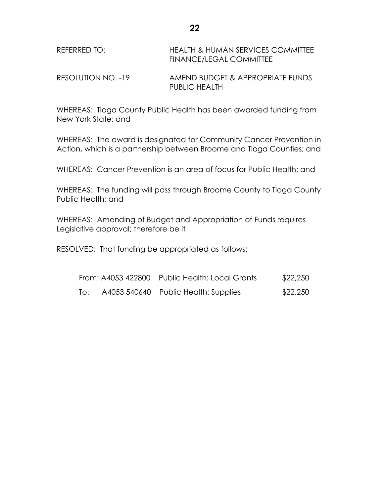| REFERRED TO:       | <b>HEALTH &amp; HUMAN SERVICES COMMITTEE</b><br>FINANCE/LEGAL COMMITTEE |
|--------------------|-------------------------------------------------------------------------|
| RESOLUTION NO. -19 | AMEND BUDGET & APPROPRIATE FUNDS<br><b>PUBLIC HEALTH</b>                |

WHEREAS: Tioga County Public Health has been awarded funding from New York State; and

WHEREAS: The award is designated for Community Cancer Prevention in Action, which is a partnership between Broome and Tioga Counties; and

WHEREAS: Cancer Prevention is an area of focus for Public Health; and

WHEREAS: The funding will pass through Broome County to Tioga County Public Health; and

WHEREAS: Amending of Budget and Appropriation of Funds requires Legislative approval; therefore be it

RESOLVED: That funding be appropriated as follows:

|     | From: A4053 422800 Public Health: Local Grants | \$22,250 |
|-----|------------------------------------------------|----------|
| To: | A4053 540640 Public Health: Supplies           | \$22,250 |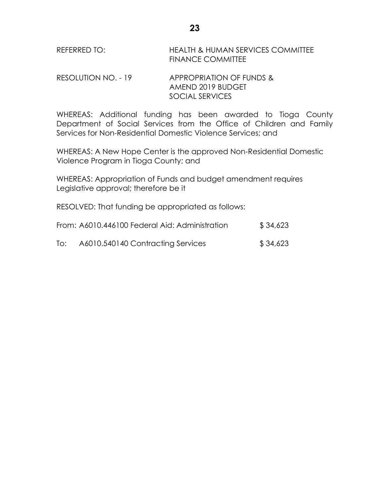| REFERRED TO: | <b>HEALTH &amp; HUMAN SERVICES COMMITTEE</b> |
|--------------|----------------------------------------------|
|              | <b>FINANCE COMMITTEE</b>                     |

RESOLUTION NO. - 19 APPROPRIATION OF FUNDS & AMEND 2019 BUDGET SOCIAL SERVICES

WHEREAS: Additional funding has been awarded to Tioga County Department of Social Services from the Office of Children and Family Services for Non-Residential Domestic Violence Services; and

WHEREAS: A New Hope Center is the approved Non-Residential Domestic Violence Program in Tioga County; and

WHEREAS: Appropriation of Funds and budget amendment requires Legislative approval; therefore be it

RESOLVED: That funding be appropriated as follows:

| From: A6010.446100 Federal Aid: Administration | \$34,623                          |          |
|------------------------------------------------|-----------------------------------|----------|
| To:                                            | A6010.540140 Contracting Services | \$34,623 |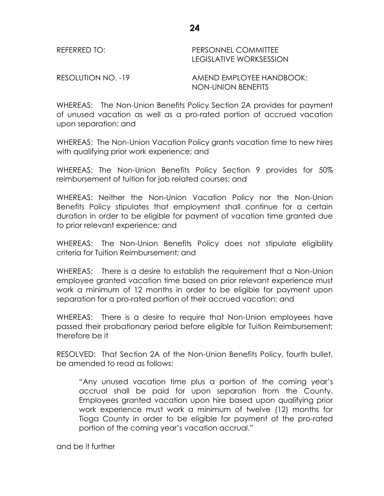| REFERRED TO: | PERSONNEL COMMITTEE<br><b>LEGISLATIVE WORKSESSION</b> |
|--------------|-------------------------------------------------------|
|              |                                                       |

RESOLUTION NO. -19 AMEND EMPLOYEE HANDBOOK: NON-UNION BENEFITS

WHEREAS: The Non-Union Benefits Policy Section 2A provides for payment of unused vacation as well as a pro-rated portion of accrued vacation upon separation; and

WHEREAS: The Non-Union Vacation Policy grants vacation time to new hires with qualifying prior work experience; and

WHEREAS: The Non-Union Benefits Policy Section 9 provides for 50% reimbursement of tuition for job related courses; and

WHEREAS: Neither the Non-Union Vacation Policy nor the Non-Union Benefits Policy stipulates that employment shall continue for a certain duration in order to be eligible for payment of vacation time granted due to prior relevant experience; and

WHEREAS: The Non-Union Benefits Policy does not stipulate eligibility criteria for Tuition Reimbursement; and

WHEREAS: There is a desire to establish the requirement that a Non-Union employee granted vacation time based on prior relevant experience must work a minimum of 12 months in order to be eligible for payment upon separation for a pro-rated portion of their accrued vacation; and

WHEREAS: There is a desire to require that Non-Union employees have passed their probationary period before eligible for Tuition Reimbursement; therefore be it

RESOLVED: That Section 2A of the Non-Union Benefits Policy, fourth bullet, be amended to read as follows:

"Any unused vacation time plus a portion of the coming year's accrual shall be paid for upon separation from the County. Employees granted vacation upon hire based upon qualifying prior work experience must work a minimum of twelve (12) months for Tioga County in order to be eligible for payment of the pro-rated portion of the coming year's vacation accrual."

and be it further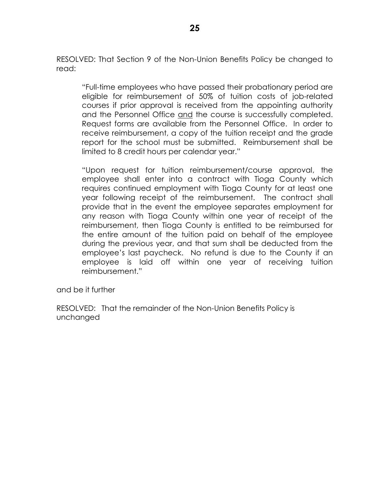RESOLVED: That Section 9 of the Non-Union Benefits Policy be changed to read:

"Full-time employees who have passed their probationary period are eligible for reimbursement of 50% of tuition costs of job-related courses if prior approval is received from the appointing authority and the Personnel Office and the course is successfully completed. Request forms are available from the Personnel Office. In order to receive reimbursement, a copy of the tuition receipt and the grade report for the school must be submitted. Reimbursement shall be limited to 8 credit hours per calendar year."

"Upon request for tuition reimbursement/course approval, the employee shall enter into a contract with Tioga County which requires continued employment with Tioga County for at least one year following receipt of the reimbursement. The contract shall provide that in the event the employee separates employment for any reason with Tioga County within one year of receipt of the reimbursement, then Tioga County is entitled to be reimbursed for the entire amount of the tuition paid on behalf of the employee during the previous year, and that sum shall be deducted from the employee's last paycheck. No refund is due to the County if an employee is laid off within one year of receiving tuition reimbursement."

and be it further

RESOLVED: That the remainder of the Non-Union Benefits Policy is unchanged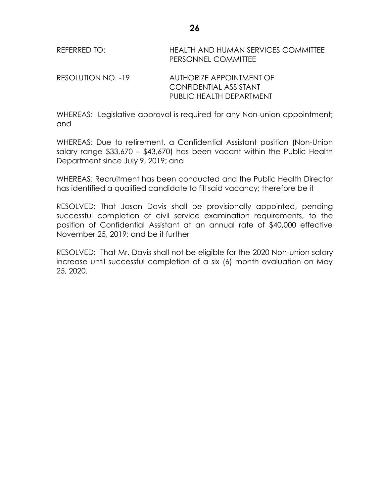| REFERRED TO:       | HEALTH AND HUMAN SERVICES COMMITTEE<br>PERSONNEL COMMITTEE |
|--------------------|------------------------------------------------------------|
| RESOLUTION NO. -19 | AUTHORIZE APPOINTMENT OF                                   |

CONFIDENTIAL ASSISTANT PUBLIC HEALTH DEPARTMENT

WHEREAS: Legislative approval is required for any Non-union appointment; and

WHEREAS: Due to retirement, a Confidential Assistant position (Non-Union salary range \$33,670 – \$43,670) has been vacant within the Public Health Department since July 9, 2019; and

WHEREAS: Recruitment has been conducted and the Public Health Director has identified a qualified candidate to fill said vacancy; therefore be it

RESOLVED: That Jason Davis shall be provisionally appointed, pending successful completion of civil service examination requirements, to the position of Confidential Assistant at an annual rate of \$40,000 effective November 25, 2019; and be it further

RESOLVED: That Mr. Davis shall not be eligible for the 2020 Non-union salary increase until successful completion of a six (6) month evaluation on May 25, 2020.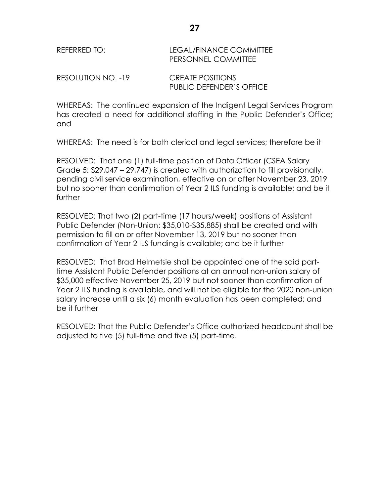| REFERRED TO: | LEGAL/FINANCE COMMITTEE    |
|--------------|----------------------------|
|              | <b>PERSONNEL COMMITTEE</b> |
|              |                            |

RESOLUTION NO. -19 CREATE POSITIONS PUBLIC DEFENDER'S OFFICE

WHEREAS: The continued expansion of the Indigent Legal Services Program has created a need for additional staffing in the Public Defender's Office; and

WHEREAS: The need is for both clerical and legal services; therefore be it

RESOLVED: That one (1) full-time position of Data Officer (CSEA Salary Grade 5: \$29,047 – 29,747) is created with authorization to fill provisionally, pending civil service examination, effective on or after November 23, 2019 but no sooner than confirmation of Year 2 ILS funding is available; and be it further

RESOLVED: That two (2) part-time (17 hours/week) positions of Assistant Public Defender (Non-Union: \$35,010-\$35,885) shall be created and with permission to fill on or after November 13, 2019 but no sooner than confirmation of Year 2 ILS funding is available; and be it further

RESOLVED: That Brad Helmetsie shall be appointed one of the said parttime Assistant Public Defender positions at an annual non-union salary of \$35,000 effective November 25, 2019 but not sooner than confirmation of Year 2 ILS funding is available, and will not be eligible for the 2020 non-union salary increase until a six (6) month evaluation has been completed; and be it further

RESOLVED: That the Public Defender's Office authorized headcount shall be adjusted to five (5) full-time and five (5) part-time.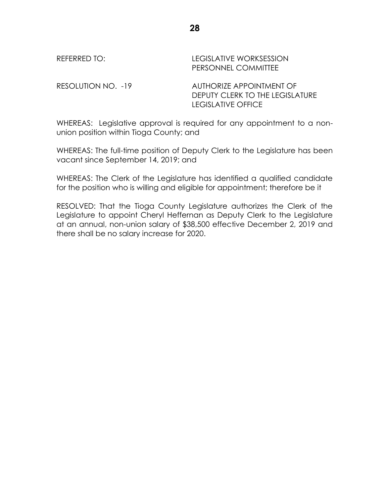# REFERRED TO: LEGISLATIVE WORKSESSION PERSONNEL COMMITTEE RESOLUTION NO. -19 AUTHORIZE APPOINTMENT OF DEPUTY CLERK TO THE LEGISLATURE

WHEREAS: Legislative approval is required for any appointment to a nonunion position within Tioga County; and

LEGISLATIVE OFFICE

WHEREAS: The full-time position of Deputy Clerk to the Legislature has been vacant since September 14, 2019; and

WHEREAS: The Clerk of the Legislature has identified a qualified candidate for the position who is willing and eligible for appointment; therefore be it

RESOLVED: That the Tioga County Legislature authorizes the Clerk of the Legislature to appoint Cheryl Heffernan as Deputy Clerk to the Legislature at an annual, non-union salary of \$38,500 effective December 2, 2019 and there shall be no salary increase for 2020.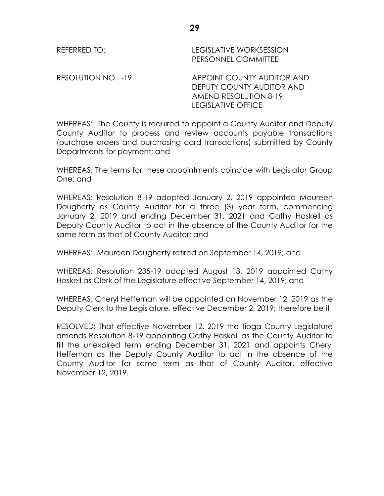REFERRED TO: LEGISLATIVE WORKSESSION PERSONNEL COMMITTEE

RESOLUTION NO. -19 APPOINT COUNTY AUDITOR AND DEPUTY COUNTY AUDITOR AND AMEND RESOLUTION 8-19 LEGISLATIVE OFFICE

WHEREAS: The County is required to appoint a County Auditor and Deputy County Auditor to process and review accounts payable transactions (purchase orders and purchasing card transactions) submitted by County Departments for payment; and

WHEREAS: The terms for these appointments coincide with Legislator Group One; and

WHEREAS: Resolution 8-19 adopted January 2, 2019 appointed Maureen Dougherty as County Auditor for a three (3) year term, commencing January 2, 2019 and ending December 31, 2021 and Cathy Haskell as Deputy County Auditor to act in the absence of the County Auditor for the same term as that of County Auditor; and

WHEREAS: Maureen Dougherty retired on September 14, 2019; and

WHEREAS: Resolution 235-19 adopted August 13, 2019 appointed Cathy Haskell as Clerk of the Legislature effective September 14, 2019; and

WHEREAS: Cheryl Heffernan will be appointed on November 12, 2019 as the Deputy Clerk to the Legislature, effective December 2, 2019; therefore be it

RESOLVED: That effective November 12, 2019 the Tioga County Legislature amends Resolution 8-19 appointing Cathy Haskell as the County Auditor to fill the unexpired term ending December 31, 2021 and appoints Cheryl Heffernan as the Deputy County Auditor to act in the absence of the County Auditor for same term as that of County Auditor, effective November 12, 2019.